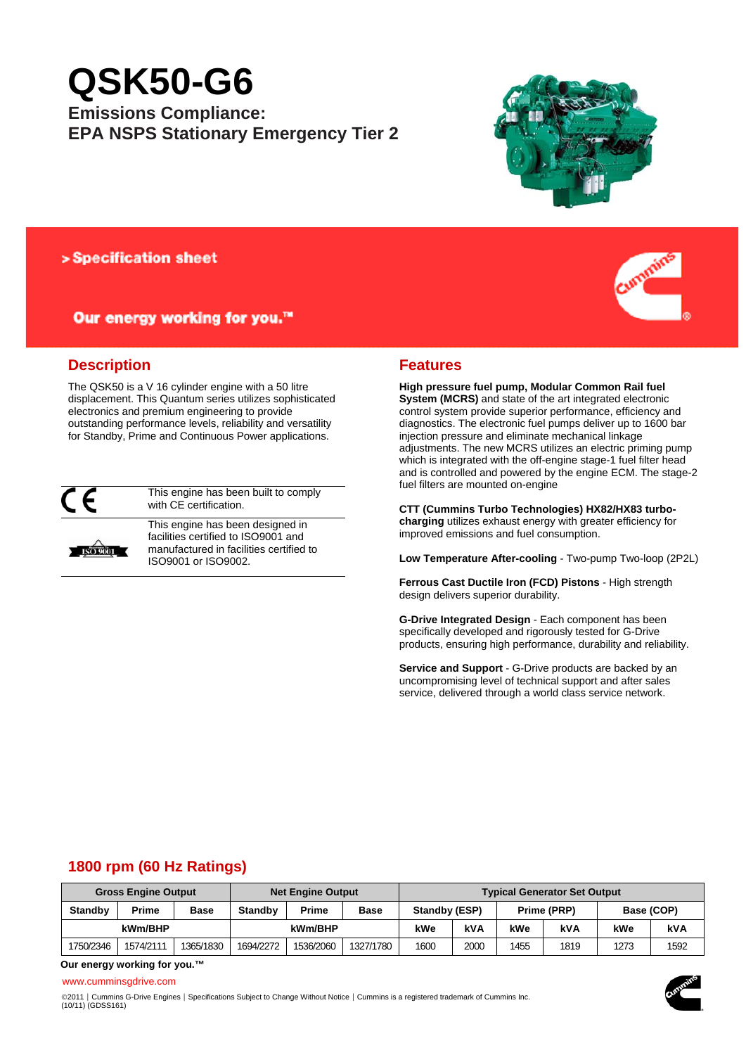# **QSK50-G6**

# **Emissions Compliance: EPA NSPS Stationary Emergency Tier 2**



## > Specification sheet

# Our energy working for you.™



The QSK50 is a V 16 cylinder engine with a 50 litre displacement. This Quantum series utilizes sophisticated electronics and premium engineering to provide outstanding performance levels, reliability and versatility for Standby, Prime and Continuous Power applications.



This engine has been built to comply with CE certification.



This engine has been designed in facilities certified to ISO9001 and manufactured in facilities certified to ISO9001 or ISO9002.



**High pressure fuel pump, Modular Common Rail fuel System (MCRS)** and state of the art integrated electronic control system provide superior performance, efficiency and diagnostics. The electronic fuel pumps deliver up to 1600 bar injection pressure and eliminate mechanical linkage adjustments. The new MCRS utilizes an electric priming pump which is integrated with the off-engine stage-1 fuel filter head and is controlled and powered by the engine ECM. The stage-2 fuel filters are mounted on-engine

**CTT (Cummins Turbo Technologies) HX82/HX83 turbocharging** utilizes exhaust energy with greater efficiency for improved emissions and fuel consumption.

**Low Temperature After-cooling** - Two-pump Two-loop (2P2L)

**Ferrous Cast Ductile Iron (FCD) Pistons** - High strength design delivers superior durability.

**G-Drive Integrated Design** - Each component has been specifically developed and rigorously tested for G-Drive products, ensuring high performance, durability and reliability.

**Service and Support** - G-Drive products are backed by an uncompromising level of technical support and after sales service, delivered through a world class service network.

# **1800 rpm (60 Hz Ratings)**

| <b>Gross Engine Output</b> |           |             | <b>Net Engine Output</b> |           |           | <b>Typical Generator Set Output</b> |      |             |      |            |      |
|----------------------------|-----------|-------------|--------------------------|-----------|-----------|-------------------------------------|------|-------------|------|------------|------|
| <b>Standby</b>             | Prime     | <b>Base</b> | <b>Standby</b>           | Prime     | Base      | Standby (ESP)                       |      | Prime (PRP) |      | Base (COP) |      |
| kWm/BHP                    |           | kWm/BHP     |                          | kWe       | kVA       | kWe                                 | kVA  | kWe         | kVA  |            |      |
| 1750/2346                  | 1574/2111 | 1365/1830   | 1694/2272                | 1536/2060 | 1327/1780 | 1600                                | 2000 | 1455        | 1819 | 1273       | 1592 |

**Our energy working for you.™**

#### www.cumminsgdrive.com

©2011 | Cummins G-Drive Engines | Specifications Subject to Change Without Notice | Cummins is a registered trademark of Cummins Inc.<br>(10/11) (GDSS161)